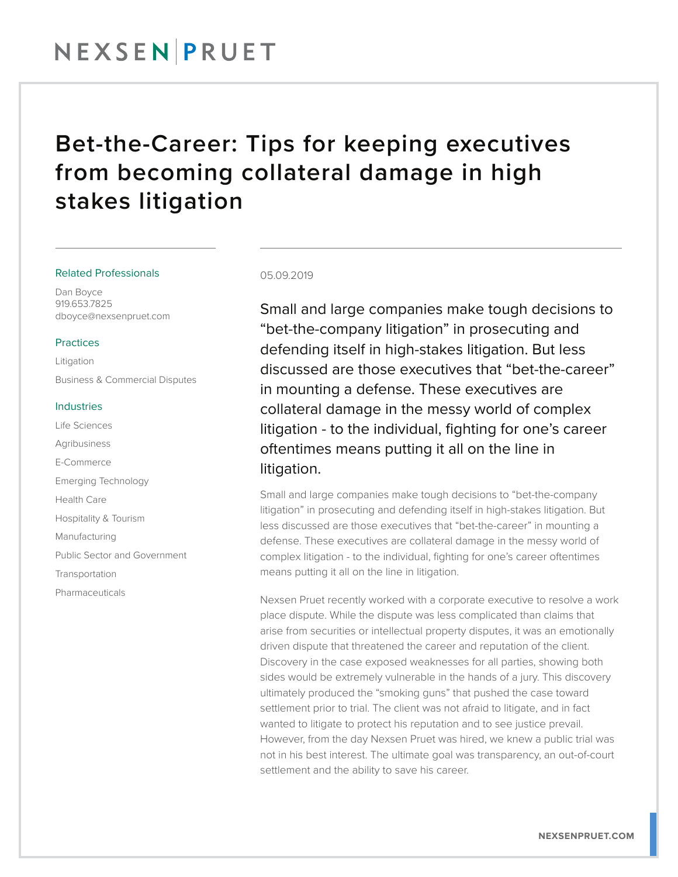## NEXSENPRUET

### Bet-the-Career: Tips for keeping executives from becoming collateral damage in high stakes litigation

#### Related Professionals

Dan Boyce 919.653.7825 dboyce@nexsenpruet.com

#### Practices

Litigation Business & Commercial Disputes

#### Industries

Life Sciences Agribusiness E-Commerce Emerging Technology Health Care Hospitality & Tourism Manufacturing Public Sector and Government **Transportation** 

Pharmaceuticals

#### 05.09.2019

Small and large companies make tough decisions to "bet-the-company litigation" in prosecuting and defending itself in high-stakes litigation. But less discussed are those executives that "bet-the-career" in mounting a defense. These executives are collateral damage in the messy world of complex litigation - to the individual, fighting for one's career oftentimes means putting it all on the line in litigation.

Small and large companies make tough decisions to "bet-the-company litigation" in prosecuting and defending itself in high-stakes litigation. But less discussed are those executives that "bet-the-career" in mounting a defense. These executives are collateral damage in the messy world of complex litigation - to the individual, fighting for one's career oftentimes means putting it all on the line in litigation.

Nexsen Pruet recently worked with a corporate executive to resolve a work place dispute. While the dispute was less complicated than claims that arise from securities or intellectual property disputes, it was an emotionally driven dispute that threatened the career and reputation of the client. Discovery in the case exposed weaknesses for all parties, showing both sides would be extremely vulnerable in the hands of a jury. This discovery ultimately produced the "smoking guns" that pushed the case toward settlement prior to trial. The client was not afraid to litigate, and in fact wanted to litigate to protect his reputation and to see justice prevail. However, from the day Nexsen Pruet was hired, we knew a public trial was not in his best interest. The ultimate goal was transparency, an out-of-court settlement and the ability to save his career.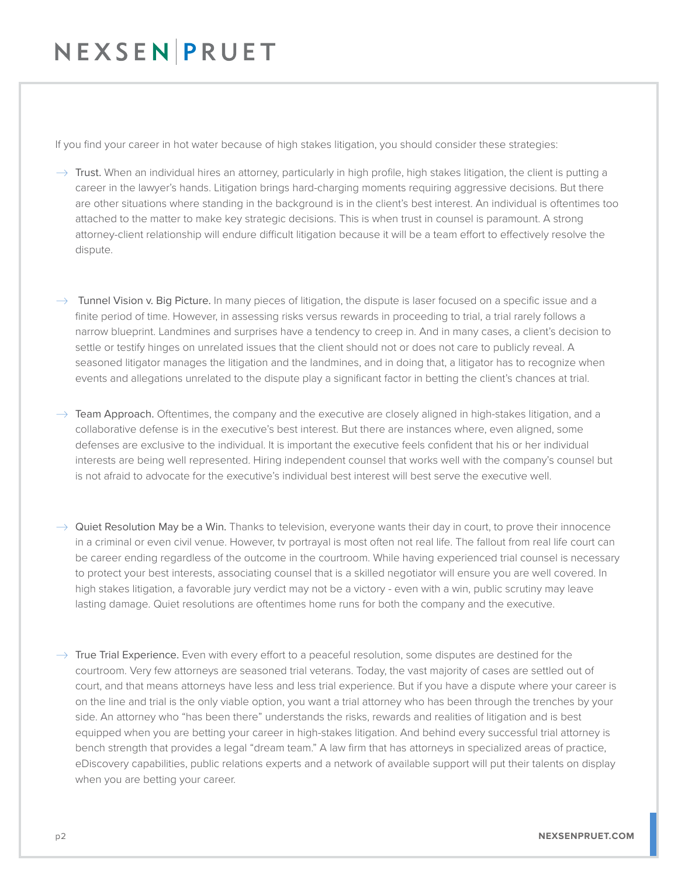## NEXSENPRUET

If you find your career in hot water because of high stakes litigation, you should consider these strategies:

- $\rightarrow$  Trust. When an individual hires an attorney, particularly in high profile, high stakes litigation, the client is putting a career in the lawyer's hands. Litigation brings hard-charging moments requiring aggressive decisions. But there are other situations where standing in the background is in the client's best interest. An individual is oftentimes too attached to the matter to make key strategic decisions. This is when trust in counsel is paramount. A strong attorney-client relationship will endure difficult litigation because it will be a team effort to effectively resolve the dispute.
- $\rightarrow$  Tunnel Vision v. Big Picture. In many pieces of litigation, the dispute is laser focused on a specific issue and a finite period of time. However, in assessing risks versus rewards in proceeding to trial, a trial rarely follows a narrow blueprint. Landmines and surprises have a tendency to creep in. And in many cases, a client's decision to settle or testify hinges on unrelated issues that the client should not or does not care to publicly reveal. A seasoned litigator manages the litigation and the landmines, and in doing that, a litigator has to recognize when events and allegations unrelated to the dispute play a significant factor in betting the client's chances at trial.
- $\rightarrow$  Team Approach. Oftentimes, the company and the executive are closely aligned in high-stakes litigation, and a collaborative defense is in the executive's best interest. But there are instances where, even aligned, some defenses are exclusive to the individual. It is important the executive feels confident that his or her individual interests are being well represented. Hiring independent counsel that works well with the company's counsel but is not afraid to advocate for the executive's individual best interest will best serve the executive well.
- $\rightarrow$  Quiet Resolution May be a Win. Thanks to television, everyone wants their day in court, to prove their innocence in a criminal or even civil venue. However, tv portrayal is most often not real life. The fallout from real life court can be career ending regardless of the outcome in the courtroom. While having experienced trial counsel is necessary to protect your best interests, associating counsel that is a skilled negotiator will ensure you are well covered. In high stakes litigation, a favorable jury verdict may not be a victory - even with a win, public scrutiny may leave lasting damage. Quiet resolutions are oftentimes home runs for both the company and the executive.
- $\rightarrow$  True Trial Experience. Even with every effort to a peaceful resolution, some disputes are destined for the courtroom. Very few attorneys are seasoned trial veterans. Today, the vast majority of cases are settled out of court, and that means attorneys have less and less trial experience. But if you have a dispute where your career is on the line and trial is the only viable option, you want a trial attorney who has been through the trenches by your side. An attorney who "has been there" understands the risks, rewards and realities of litigation and is best equipped when you are betting your career in high-stakes litigation. And behind every successful trial attorney is bench strength that provides a legal "dream team." A law firm that has attorneys in specialized areas of practice, eDiscovery capabilities, public relations experts and a network of available support will put their talents on display when you are betting your career.